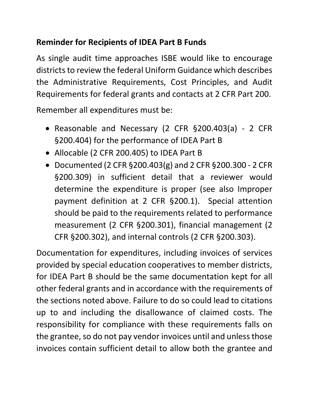## **Reminder for Recipients of IDEA Part B Funds**

As single audit time approaches ISBE would like to encourage districts to review the federal Uniform Guidance which describes the Administrative Requirements, Cost Principles, and Audit Requirements for federal grants and contacts at 2 CFR Part 200.

Remember all expenditures must be:

- Reasonable and Necessary (2 CFR §200.403(a) 2 CFR §200.404) for the performance of IDEA Part B
- Allocable [\(2 CFR 200.405\)](https://www.govinfo.gov/app/details/CFR-2014-title2-vol1/CFR-2014-title2-vol1-sec200-405) to IDEA Part B
- Documented (2 CFR §200.403(g) and 2 CFR §200.300 2 CFR §200.309) in sufficient detail that a reviewer would determine the expenditure is proper (see also Improper payment definition at 2 CFR §200.1). Special attention should be paid to the requirements related to performance measurement (2 CFR §200.301), financial management (2 CFR §200.302), and internal controls (2 CFR §200.303).

Documentation for expenditures, including invoices of services provided by special education cooperatives to member districts, for IDEA Part B should be the same documentation kept for all other federal grants and in accordance with the requirements of the sections noted above. Failure to do so could lead to citations up to and including the disallowance of claimed costs. The responsibility for compliance with these requirements falls on the grantee, so do not pay vendor invoices until and unless those invoices contain sufficient detail to allow both the grantee and